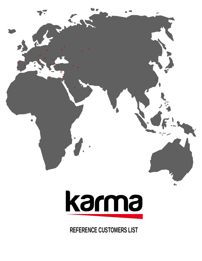



**REFERENCE CUSTOMERS LIST**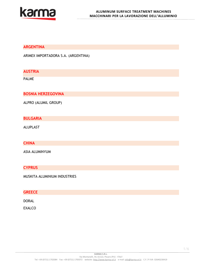

#### **ARGENTINA**

ARIMEX IMPORTADORA S.A. (ARGENTINA)

# **AUSTRIA**

PALME

**BOSNIA HERZEGOVINA**

ALPRO (ALUMIL GROUP)

## **BULGARIA**

ALUPLAST

# **CHINA**

ASIA ALUMINYUM

## **CYPRUS**

MUSKITA ALUMINIUM INDUSTRIES

#### **GREECE**

DORAL

EXALCO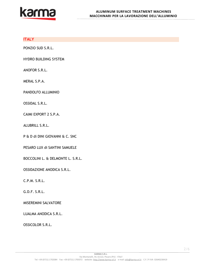

## **ITALY**

PONZIO SUD S.R.L.

HYDRO BUILDING SYSTEM

ANOFOR S.R.L.

MERAL S.P.A.

PANDOLFO ALLUMINIO

OSSIDAL S.R.L.

CAIMI EXPORT 2 S.P.A.

ALUBRILL S.R.L.

P & D di DINI GIOVANNI & C. SNC

PESARO LUX di SANTINI SAMUELE

BOCCOLINI L. & DELMONTE L. S.R.L.

OSSIDAZIONE ANODICA S.R.L.

C.P.M. S.R.L.

G.D.F. S.R.L.

MISEREMINI SALVATORE

LUALMA ANODICA S.R.L.

OSSICOLOR S.R.L.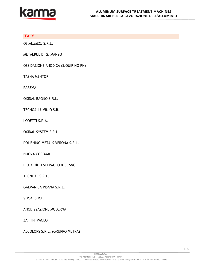

## **ITALY**

OS.AL.MEC. S.R.L.

METALPUL DI G. MANZO

OSSIDAZIONE ANODICA (S.QUIRINO PN)

TASHA MENTOR

PAREMA

OXIDAL BAGNO S.R.L.

TECNOALLUMINIO S.R.L.

LODETTI S.P.A.

OXIDAL SYSTEM S.R.L.

POLISHING METALS VERONA S.R.L.

NUOVA COROXAL

L.O.A. di TESEI PAOLO & C. SNC

TECNOAL S.R.L.

GALVANICA PISANA S.R.L.

V.P.A. S.R.L.

ANODIZZAZIONE MODERNA

ZAFFINI PAOLO

ALCOLORS S.R.L. (GRUPPO METRA)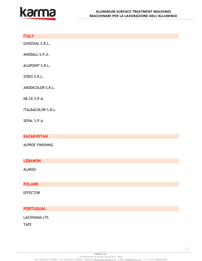

# **ITALY**

GHISOXAL S.R.L.

ANODALL S.P.A.

ALUPOINT S.R.L.

ZORZI S.R.L.

ANODICOLOR S.R.L.

NE.CE S.P.A.

ITALBACOLOR S.R.L.

SEPAL S.P.A.

**KAZAKHSTAN**

ALPROF FINISHING

**LEBANON**

ALAKSO

# **POLAND**

EFFECTOR

## **PORTUGUAL**

#### LACOVIANA LTS

TAFE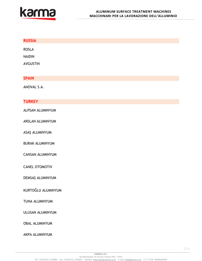

| <b>RUSSIA</b>           |
|-------------------------|
| <b>ROSLA</b>            |
| <b>NAIDIN</b>           |
| AVGUSTIN                |
| <b>SPAIN</b>            |
|                         |
| ANOVAL S.A.             |
| <b>TURKEY</b>           |
| ALPSAN ALUMINYUM        |
| <b>ARSLAN ALUMINYUM</b> |
| ASAŞ ALUMINYUM          |
| <b>BURAK ALUMINYUM</b>  |
| CANSAN ALUMINYUM        |
| CANEL OTOMOTIV          |
| DEMSAŞ ALUMINYUM        |
| KURTOĞLU ALUMINYUM      |
| TUNA ALUMINYUM          |
| ULUSAN ALUMINYUM        |
| <b>OBAL ALUMINYUM</b>   |
| <b>AKPA ALUMINYUM</b>   |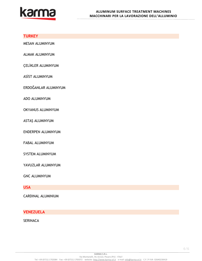

## **TURKEY**

MESAN ALUMINYUM

ALMAK ALUMINYUM

ÇELİKLER ALUMINYUM

ASİST ALUMINYUM

ERDOĞANLAR ALUMINYUM

ADO ALUMINYUM

OKYANUS ALUMINYUM

ASTAŞ ALUMINYUM

ENDERPEN ALUMINYUM

FABAL ALUMINYUM

SYSTEM ALUMINYUM

YAVUZLAR ALUMINYUM

GNC ALUMINYUM

**USA**

CARDINAL ALUMINIUM

**VENEZUELA**

**SERINACA**